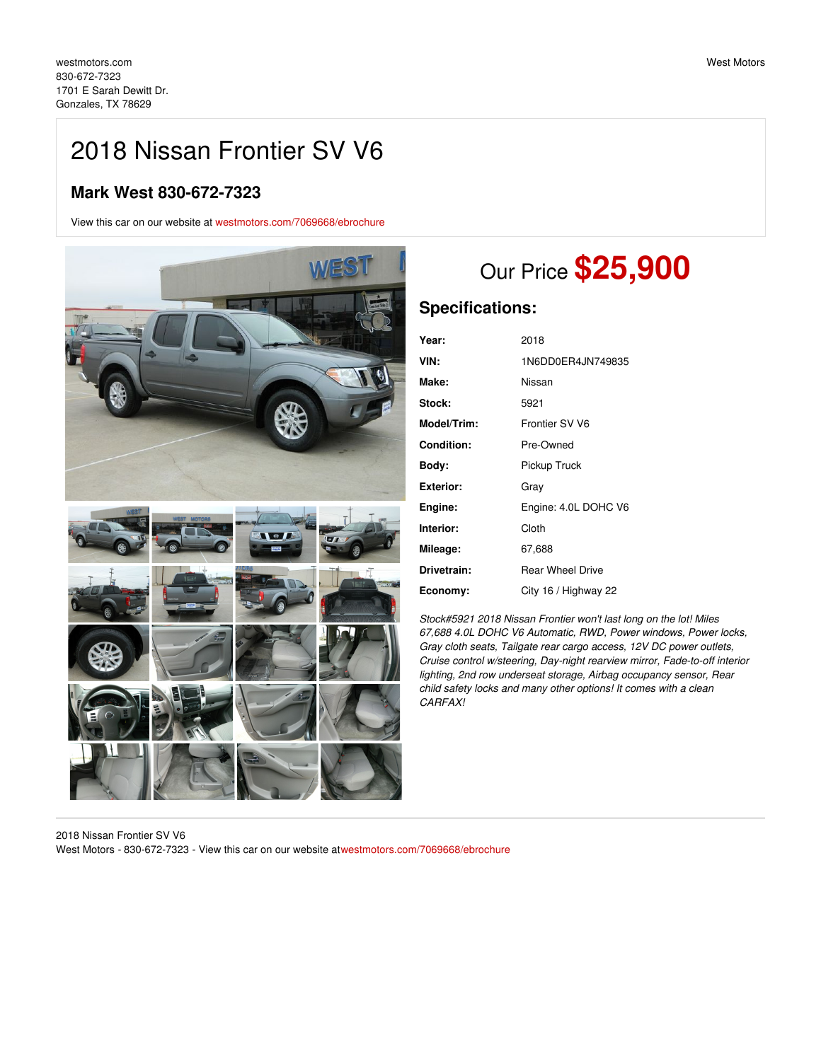## 2018 Nissan Frontier SV V6

## **Mark West 830-672-7323**

View this car on our website at [westmotors.com/7069668/ebrochure](https://westmotors.com/vehicle/7069668/2018-nissan-frontier-sv-v6-gonzales-tx-78629/7069668/ebrochure)



# Our Price **\$25,900**

## **Specifications:**

| Year:              | 2018                    |
|--------------------|-------------------------|
| VIN:               | 1N6DD0ER4JN749835       |
| Make:              | Nissan                  |
| Stock:             | 5921                    |
| <b>Model/Trim:</b> | Frontier SV V6          |
| <b>Condition:</b>  | Pre-Owned               |
| Body:              | Pickup Truck            |
| Exterior:          | Gray                    |
| Engine:            | Engine: 4.0L DOHC V6    |
| Interior:          | Cloth                   |
| Mileage:           | 67,688                  |
| Drivetrain:        | <b>Rear Wheel Drive</b> |
| Economy:           | City 16 / Highway 22    |

*Stock#5921 2018 Nissan Frontier won't last long on the lot! Miles 67,688 4.0L DOHC V6 Automatic, RWD, Power windows, Power locks, Gray cloth seats, Tailgate rear cargo access, 12V DC power outlets, Cruise control w/steering, Day-night rearview mirror, Fade-to-off interior lighting, 2nd row underseat storage, Airbag occupancy sensor, Rear child safety locks and many other options! It comes with a clean CARFAX!*

2018 Nissan Frontier SV V6 West Motors - 830-672-7323 - View this car on our website a[twestmotors.com/7069668/ebrochure](https://westmotors.com/vehicle/7069668/2018-nissan-frontier-sv-v6-gonzales-tx-78629/7069668/ebrochure)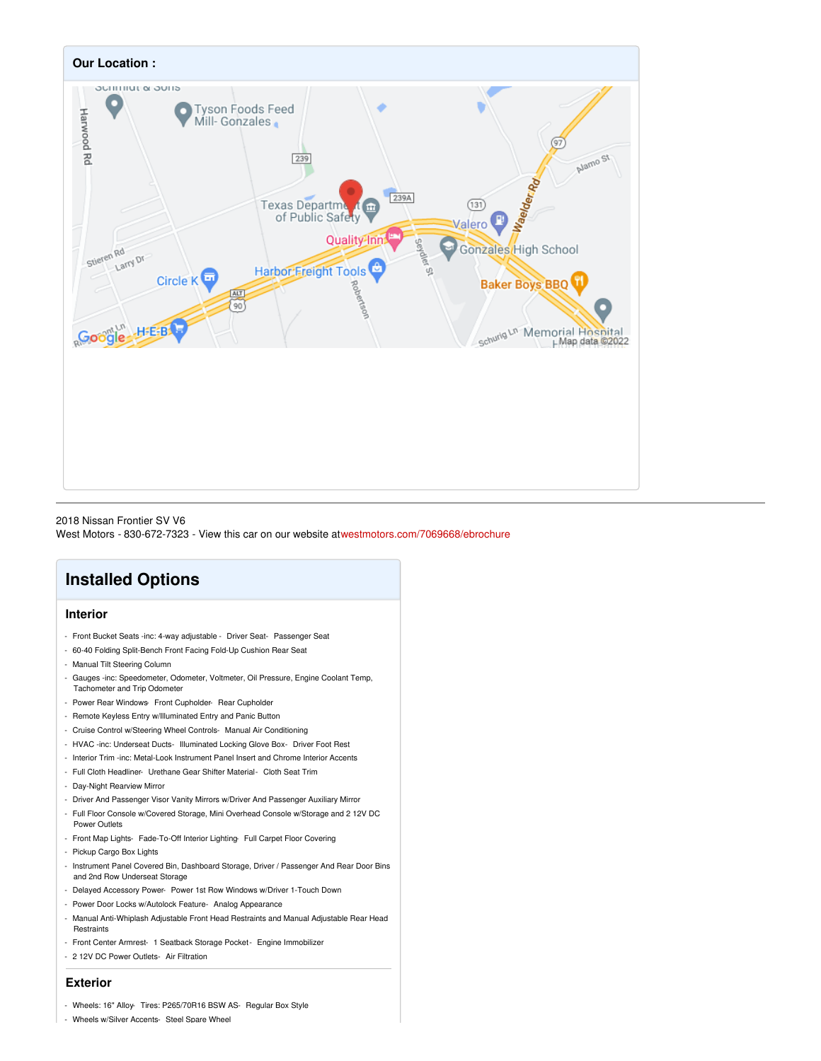

2018 Nissan Frontier SV V6 West Motors - 830-672-7323 - View this car on our website a[twestmotors.com/7069668/ebrochure](https://westmotors.com/vehicle/7069668/2018-nissan-frontier-sv-v6-gonzales-tx-78629/7069668/ebrochure)

## **Installed Options**

#### **Interior**

- Front Bucket Seats -inc: 4-way adjustable Driver Seat- Passenger Seat
- 60-40 Folding Split-Bench Front Facing Fold-Up Cushion Rear Seat
- Manual Tilt Steering Column
- Gauges -inc: Speedometer, Odometer, Voltmeter, Oil Pressure, Engine Coolant Temp, Tachometer and Trip Odometer
- Power Rear Windows- Front Cupholder- Rear Cupholder
- Remote Keyless Entry w/Illuminated Entry and Panic Button
- Cruise Control w/Steering Wheel Controls- Manual Air Conditioning
- HVAC -inc: Underseat Ducts- Illuminated Locking Glove Box- Driver Foot Rest
- Interior Trim -inc: Metal-Look Instrument Panel Insert and Chrome Interior Accents
- Full Cloth Headliner- Urethane Gear Shifter Material- Cloth Seat Trim
- Day-Night Rearview Mirror
- Driver And Passenger Visor Vanity Mirrors w/Driver And Passenger Auxiliary Mirror
- Full Floor Console w/Covered Storage, Mini Overhead Console w/Storage and 2 12V DC Power Outlets
- Front Map Lights- Fade-To-Off Interior Lighting- Full Carpet Floor Covering
- Pickup Cargo Box Lights
- Instrument Panel Covered Bin, Dashboard Storage, Driver / Passenger And Rear Door Bins and 2nd Row Underseat Storage
- Delayed Accessory Power- Power 1st Row Windows w/Driver 1-Touch Down
- Power Door Locks w/Autolock Feature- Analog Appearance
- Manual Anti-Whiplash Adjustable Front Head Restraints and Manual Adjustable Rear Head **Restraints**
- Front Center Armrest- 1 Seatback Storage Pocket- Engine Immobilizer
- 2 12V DC Power Outlets- Air Filtration

#### **Exterior**

- Wheels: 16" Alloy- Tires: P265/70R16 BSW AS- Regular Box Style
- Wheels w/Silver Accents- Steel Spare Wheel